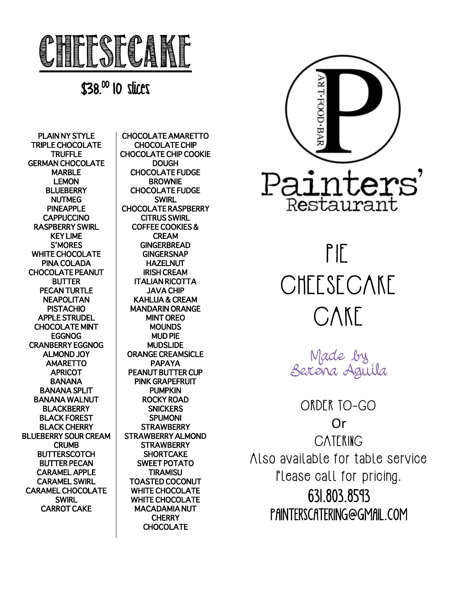

\$38. 00 10 slices

PLAIN NY STYLE TRIPLE CHOCOLATE TRUFFLE GERMAN CHOCOLATE MARBLE LEMON **BLUEBERRY** NUTMEG PINEAPPLE **CAPPUCCINO** RASPBERRY SWIRL KEY LIME S'MORES WHITE CHOCOLATE PINA COLADA CHOCOLATE PEANUT BUTTER PECAN TURTLE **NEAPOLITAN** PISTACHIO APPLE STRUDEL CHOCOLATE MINT EGGNOG CRANBERRY EGGNOG ALMOND JOY AMARETTO **APRICOT** BANANA BANANA SPLIT BANANA WALNUT **BLACKBERRY** BLACK FOREST BLACK CHERRY BLUEBERRY SOUR CREAM **CRUMB BUTTERSCOTCH** BUTTER PECAN CARAMEL APPLE CARAMEL SWIRL CARAMEL CHOCOLATE **SWIRL** CARROT CAKE

CHOCOLATE AMARETTO CHOCOLATE CHIP CHOCOLATE CHIP COOKIE **DOUGH** CHOCOLATE FUDGE BROWNIE CHOCOLATE FUDGE SWIRL CHOCOLATE RASPBERRY CITRUS SWIRL COFFEE COOKIES & CREAM **GINGERBREAD GINGERSNAP** HAZELNUT IRISH CREAM ITALIAN RICOTTA JAVA CHIP KAHLUA & CREAM MANDARIN ORANGE MINT OREO MOUNDS MUD PIE MUDSLIDE ORANGE CREAMSICLE PAPAYA PEANUT BUTTER CUP PINK GRAPEFRUIT PUMPKIN ROCKY ROAD **SNICKERS** SPUMONI STRAWBERRY STRAWBERRY ALMOND **STRAWBERRY SHORTCAKE** SWEET POTATO TIRAMISU TOASTED COCONUT WHITE CHOCOLATE WHITE CHOCOLATE MACADAMIA NUT **CHERRY CHOCOLATE** 



## PIE CHEESECAKE CAKE

Made by Serena Aguila

ORDER TO-GO Or CATERING Also available for table service Please call for pricing. 631.803.8593 PAINTERSCATERING@GMAIL.COM